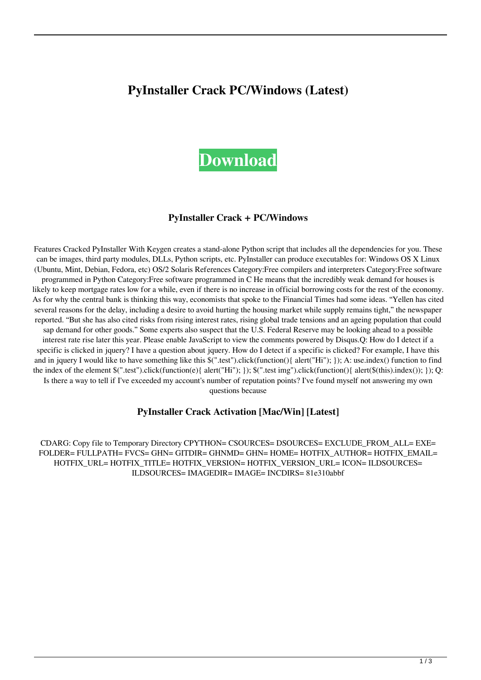# **PyInstaller Crack PC/Windows (Latest)**



#### **PyInstaller Crack + PC/Windows**

Features Cracked PyInstaller With Keygen creates a stand-alone Python script that includes all the dependencies for you. These can be images, third party modules, DLLs, Python scripts, etc. PyInstaller can produce executables for: Windows OS X Linux (Ubuntu, Mint, Debian, Fedora, etc) OS/2 Solaris References Category:Free compilers and interpreters Category:Free software programmed in Python Category:Free software programmed in C He means that the incredibly weak demand for houses is likely to keep mortgage rates low for a while, even if there is no increase in official borrowing costs for the rest of the economy. As for why the central bank is thinking this way, economists that spoke to the Financial Times had some ideas. "Yellen has cited several reasons for the delay, including a desire to avoid hurting the housing market while supply remains tight," the newspaper reported. "But she has also cited risks from rising interest rates, rising global trade tensions and an ageing population that could sap demand for other goods." Some experts also suspect that the U.S. Federal Reserve may be looking ahead to a possible interest rate rise later this year. Please enable JavaScript to view the comments powered by Disqus.Q: How do I detect if a specific is clicked in jquery? I have a question about jquery. How do I detect if a specific is clicked? For example, I have this and in jquery I would like to have something like this  $\mathcal{S}("test").click(function() {~alect("Hi"); }$ ); A: use.index() function to find the index of the element \$(".test").click(function(e){ alert("Hi"); }); \$(".test img").click(function(){ alert(\$(this).index()); }); Q: Is there a way to tell if I've exceeded my account's number of reputation points? I've found myself not answering my own questions because

#### **PyInstaller Crack Activation [Mac/Win] [Latest]**

CDARG: Copy file to Temporary Directory CPYTHON= CSOURCES= DSOURCES= EXCLUDE\_FROM\_ALL= EXE= FOLDER= FULLPATH= FVCS= GHN= GITDIR= GHNMD= GHN= HOME= HOTFIX\_AUTHOR= HOTFIX\_EMAIL= HOTFIX\_URL= HOTFIX\_TITLE= HOTFIX\_VERSION= HOTFIX\_VERSION\_URL= ICON= ILDSOURCES= ILDSOURCES= IMAGEDIR= IMAGE= INCDIRS= 81e310abbf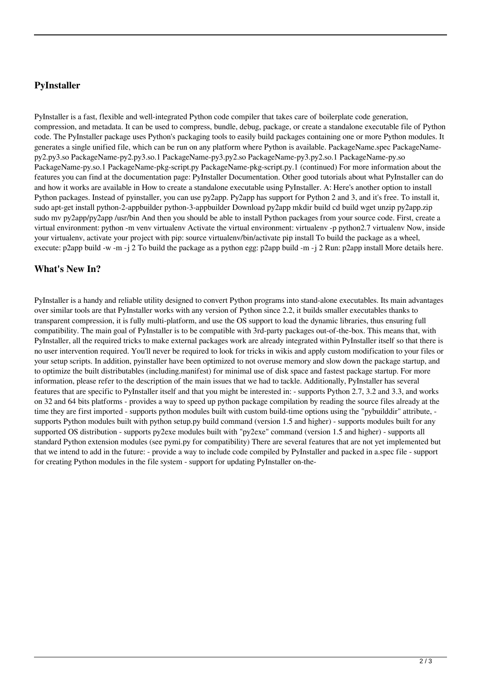## **PyInstaller**

PyInstaller is a fast, flexible and well-integrated Python code compiler that takes care of boilerplate code generation, compression, and metadata. It can be used to compress, bundle, debug, package, or create a standalone executable file of Python code. The PyInstaller package uses Python's packaging tools to easily build packages containing one or more Python modules. It generates a single unified file, which can be run on any platform where Python is available. PackageName.spec PackageNamepy2.py3.so PackageName-py2.py3.so.1 PackageName-py3.py2.so PackageName-py3.py2.so.1 PackageName-py.so PackageName-py.so.1 PackageName-pkg-script.py PackageName-pkg-script.py.1 (continued) For more information about the features you can find at the documentation page: PyInstaller Documentation. Other good tutorials about what PyInstaller can do and how it works are available in How to create a standalone executable using PyInstaller. A: Here's another option to install Python packages. Instead of pyinstaller, you can use py2app. Py2app has support for Python 2 and 3, and it's free. To install it, sudo apt-get install python-2-appbuilder python-3-appbuilder Download py2app mkdir build cd build wget unzip py2app.zip sudo mv py2app/py2app /usr/bin And then you should be able to install Python packages from your source code. First, create a virtual environment: python -m venv virtualenv Activate the virtual environment: virtualenv -p python2.7 virtualenv Now, inside your virtualenv, activate your project with pip: source virtualenv/bin/activate pip install To build the package as a wheel, execute: p2app build -w -m -j 2 To build the package as a python egg: p2app build -m -j 2 Run: p2app install More details here.

### **What's New In?**

PyInstaller is a handy and reliable utility designed to convert Python programs into stand-alone executables. Its main advantages over similar tools are that PyInstaller works with any version of Python since 2.2, it builds smaller executables thanks to transparent compression, it is fully multi-platform, and use the OS support to load the dynamic libraries, thus ensuring full compatibility. The main goal of PyInstaller is to be compatible with 3rd-party packages out-of-the-box. This means that, with PyInstaller, all the required tricks to make external packages work are already integrated within PyInstaller itself so that there is no user intervention required. You'll never be required to look for tricks in wikis and apply custom modification to your files or your setup scripts. In addition, pyinstaller have been optimized to not overuse memory and slow down the package startup, and to optimize the built distributables (including.manifest) for minimal use of disk space and fastest package startup. For more information, please refer to the description of the main issues that we had to tackle. Additionally, PyInstaller has several features that are specific to PyInstaller itself and that you might be interested in: - supports Python 2.7, 3.2 and 3.3, and works on 32 and 64 bits platforms - provides a way to speed up python package compilation by reading the source files already at the time they are first imported - supports python modules built with custom build-time options using the "pybuilddir" attribute, supports Python modules built with python setup.py build command (version 1.5 and higher) - supports modules built for any supported OS distribution - supports py2exe modules built with "py2exe" command (version 1.5 and higher) - supports all standard Python extension modules (see pymi.py for compatibility) There are several features that are not yet implemented but that we intend to add in the future: - provide a way to include code compiled by PyInstaller and packed in a.spec file - support for creating Python modules in the file system - support for updating PyInstaller on-the-